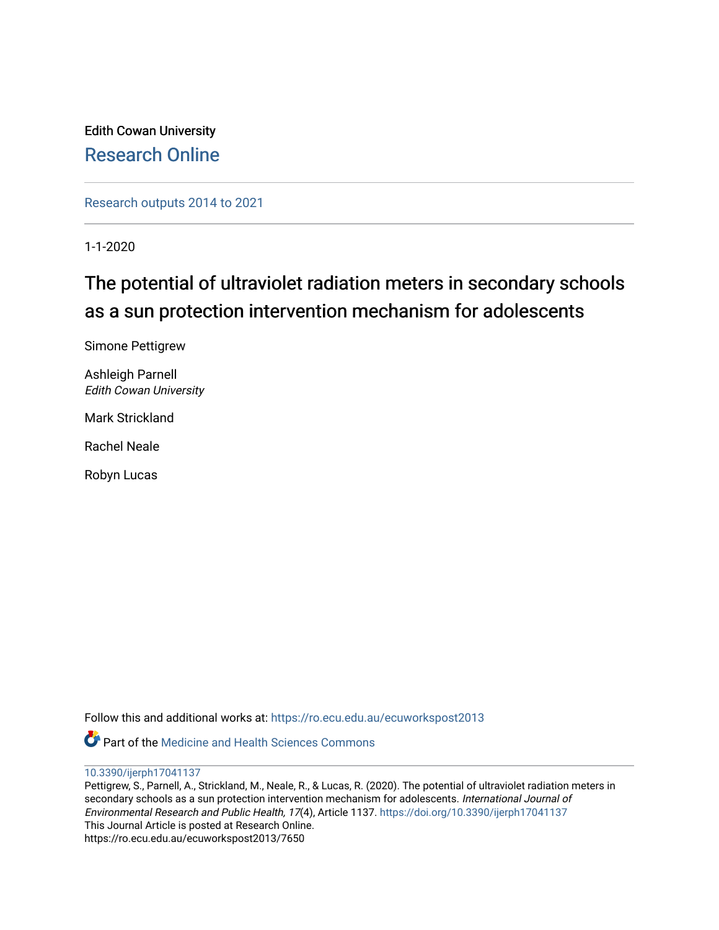Edith Cowan University [Research Online](https://ro.ecu.edu.au/) 

[Research outputs 2014 to 2021](https://ro.ecu.edu.au/ecuworkspost2013) 

1-1-2020

# The potential of ultraviolet radiation meters in secondary schools as a sun protection intervention mechanism for adolescents

Simone Pettigrew

Ashleigh Parnell Edith Cowan University

Mark Strickland

Rachel Neale

Robyn Lucas

Follow this and additional works at: [https://ro.ecu.edu.au/ecuworkspost2013](https://ro.ecu.edu.au/ecuworkspost2013?utm_source=ro.ecu.edu.au%2Fecuworkspost2013%2F7650&utm_medium=PDF&utm_campaign=PDFCoverPages) 

**C** Part of the Medicine and Health Sciences Commons



Pettigrew, S., Parnell, A., Strickland, M., Neale, R., & Lucas, R. (2020). The potential of ultraviolet radiation meters in secondary schools as a sun protection intervention mechanism for adolescents. International Journal of Environmental Research and Public Health, 17(4), Article 1137. <https://doi.org/10.3390/ijerph17041137> This Journal Article is posted at Research Online. https://ro.ecu.edu.au/ecuworkspost2013/7650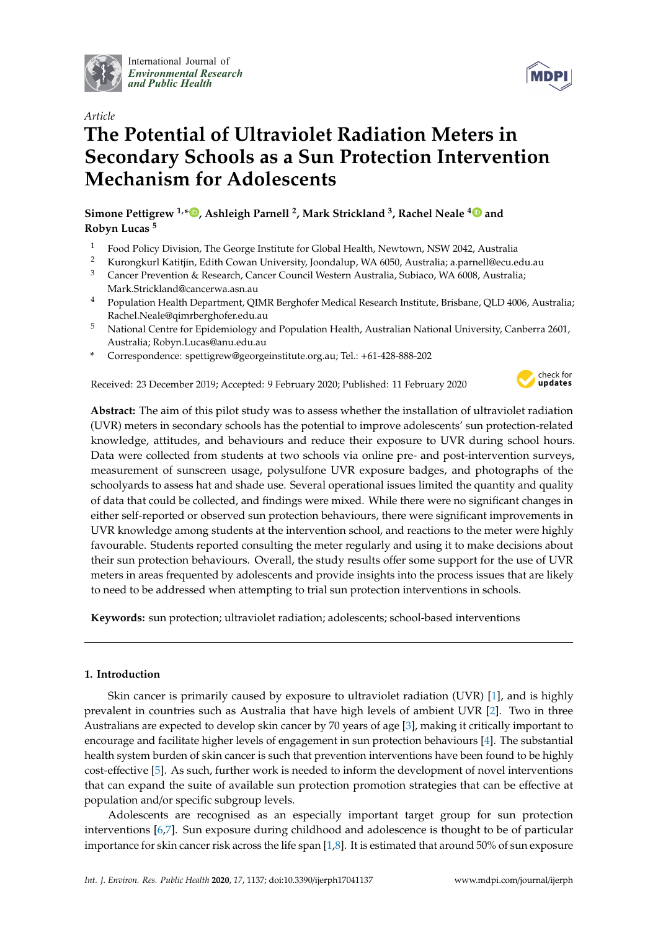

International Journal of *[Environmental Research](http://www.mdpi.com/journal/ijerph) and Public Health*



# **The Potential of Ultraviolet Radiation Meters in Secondary Schools as a Sun Protection Intervention Mechanism for Adolescents**

**Simone Pettigrew 1,[\\*](https://orcid.org/0000-0003-3921-1174) , Ashleigh Parnell <sup>2</sup> , Mark Strickland <sup>3</sup> , Rachel Neale [4](https://orcid.org/0000-0001-7162-0854) and Robyn Lucas <sup>5</sup>**

- <sup>1</sup> Food Policy Division, The George Institute for Global Health, Newtown, NSW 2042, Australia<br><sup>2</sup> Kurongkuri Katitiin, Edith Couran University Jeandalup, WA 6050, Australia a parmell@egu.o
- <sup>2</sup> Kurongkurl Katitjin, Edith Cowan University, Joondalup, WA 6050, Australia; a.parnell@ecu.edu.au
- <sup>3</sup> Cancer Prevention & Research, Cancer Council Western Australia, Subiaco, WA 6008, Australia; Mark.Strickland@cancerwa.asn.au
- <sup>4</sup> Population Health Department, QIMR Berghofer Medical Research Institute, Brisbane, QLD 4006, Australia; Rachel.Neale@qimrberghofer.edu.au
- <sup>5</sup> National Centre for Epidemiology and Population Health, Australian National University, Canberra 2601, Australia; Robyn.Lucas@anu.edu.au
- **\*** Correspondence: spettigrew@georgeinstitute.org.au; Tel.: +61-428-888-202

Received: 23 December 2019; Accepted: 9 February 2020; Published: 11 February 2020



**Abstract:** The aim of this pilot study was to assess whether the installation of ultraviolet radiation (UVR) meters in secondary schools has the potential to improve adolescents' sun protection-related knowledge, attitudes, and behaviours and reduce their exposure to UVR during school hours. Data were collected from students at two schools via online pre- and post-intervention surveys, measurement of sunscreen usage, polysulfone UVR exposure badges, and photographs of the schoolyards to assess hat and shade use. Several operational issues limited the quantity and quality of data that could be collected, and findings were mixed. While there were no significant changes in either self-reported or observed sun protection behaviours, there were significant improvements in UVR knowledge among students at the intervention school, and reactions to the meter were highly favourable. Students reported consulting the meter regularly and using it to make decisions about their sun protection behaviours. Overall, the study results offer some support for the use of UVR meters in areas frequented by adolescents and provide insights into the process issues that are likely to need to be addressed when attempting to trial sun protection interventions in schools.

**Keywords:** sun protection; ultraviolet radiation; adolescents; school-based interventions

### **1. Introduction**

Skin cancer is primarily caused by exposure to ultraviolet radiation (UVR) [\[1\]](#page-10-0), and is highly prevalent in countries such as Australia that have high levels of ambient UVR [\[2\]](#page-10-1). Two in three Australians are expected to develop skin cancer by 70 years of age [\[3\]](#page-10-2), making it critically important to encourage and facilitate higher levels of engagement in sun protection behaviours [\[4\]](#page-11-0). The substantial health system burden of skin cancer is such that prevention interventions have been found to be highly cost-effective [\[5\]](#page-11-1). As such, further work is needed to inform the development of novel interventions that can expand the suite of available sun protection promotion strategies that can be effective at population and/or specific subgroup levels.

Adolescents are recognised as an especially important target group for sun protection interventions [\[6](#page-11-2)[,7\]](#page-11-3). Sun exposure during childhood and adolescence is thought to be of particular importance for skin cancer risk across the life span [\[1](#page-10-0)[,8\]](#page-11-4). It is estimated that around 50% of sun exposure

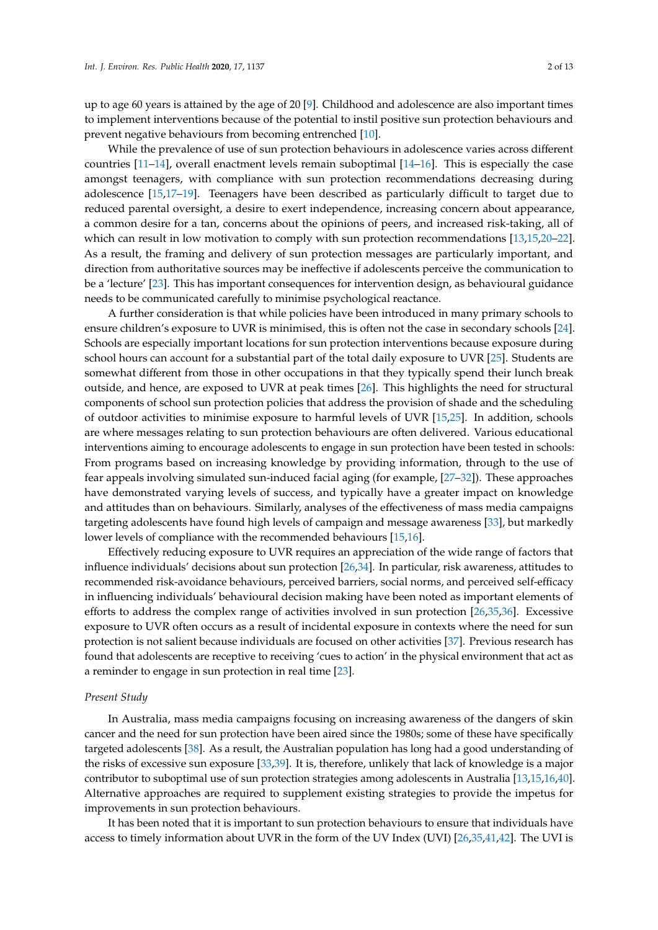up to age 60 years is attained by the age of 20 [\[9\]](#page-11-5). Childhood and adolescence are also important times to implement interventions because of the potential to instil positive sun protection behaviours and prevent negative behaviours from becoming entrenched [\[10\]](#page-11-6).

While the prevalence of use of sun protection behaviours in adolescence varies across different countries [\[11–](#page-11-7)[14\]](#page-11-8), overall enactment levels remain suboptimal [\[14](#page-11-8)[–16\]](#page-11-9). This is especially the case amongst teenagers, with compliance with sun protection recommendations decreasing during adolescence [\[15,](#page-11-10)[17](#page-11-11)[–19\]](#page-11-12). Teenagers have been described as particularly difficult to target due to reduced parental oversight, a desire to exert independence, increasing concern about appearance, a common desire for a tan, concerns about the opinions of peers, and increased risk-taking, all of which can result in low motivation to comply with sun protection recommendations [\[13,](#page-11-13)[15,](#page-11-10)[20–](#page-11-14)[22\]](#page-11-15). As a result, the framing and delivery of sun protection messages are particularly important, and direction from authoritative sources may be ineffective if adolescents perceive the communication to be a 'lecture' [\[23\]](#page-11-16). This has important consequences for intervention design, as behavioural guidance needs to be communicated carefully to minimise psychological reactance.

A further consideration is that while policies have been introduced in many primary schools to ensure children's exposure to UVR is minimised, this is often not the case in secondary schools [\[24\]](#page-11-17). Schools are especially important locations for sun protection interventions because exposure during school hours can account for a substantial part of the total daily exposure to UVR [\[25\]](#page-11-18). Students are somewhat different from those in other occupations in that they typically spend their lunch break outside, and hence, are exposed to UVR at peak times [\[26\]](#page-12-0). This highlights the need for structural components of school sun protection policies that address the provision of shade and the scheduling of outdoor activities to minimise exposure to harmful levels of UVR [\[15,](#page-11-10)[25\]](#page-11-18). In addition, schools are where messages relating to sun protection behaviours are often delivered. Various educational interventions aiming to encourage adolescents to engage in sun protection have been tested in schools: From programs based on increasing knowledge by providing information, through to the use of fear appeals involving simulated sun-induced facial aging (for example, [\[27–](#page-12-1)[32\]](#page-12-2)). These approaches have demonstrated varying levels of success, and typically have a greater impact on knowledge and attitudes than on behaviours. Similarly, analyses of the effectiveness of mass media campaigns targeting adolescents have found high levels of campaign and message awareness [\[33\]](#page-12-3), but markedly lower levels of compliance with the recommended behaviours [\[15,](#page-11-10)[16\]](#page-11-9).

Effectively reducing exposure to UVR requires an appreciation of the wide range of factors that influence individuals' decisions about sun protection [\[26,](#page-12-0)[34\]](#page-12-4). In particular, risk awareness, attitudes to recommended risk-avoidance behaviours, perceived barriers, social norms, and perceived self-efficacy in influencing individuals' behavioural decision making have been noted as important elements of efforts to address the complex range of activities involved in sun protection [\[26](#page-12-0)[,35](#page-12-5)[,36\]](#page-12-6). Excessive exposure to UVR often occurs as a result of incidental exposure in contexts where the need for sun protection is not salient because individuals are focused on other activities [\[37\]](#page-12-7). Previous research has found that adolescents are receptive to receiving 'cues to action' in the physical environment that act as a reminder to engage in sun protection in real time [\[23\]](#page-11-16).

#### *Present Study*

In Australia, mass media campaigns focusing on increasing awareness of the dangers of skin cancer and the need for sun protection have been aired since the 1980s; some of these have specifically targeted adolescents [\[38\]](#page-12-8). As a result, the Australian population has long had a good understanding of the risks of excessive sun exposure [\[33](#page-12-3)[,39\]](#page-12-9). It is, therefore, unlikely that lack of knowledge is a major contributor to suboptimal use of sun protection strategies among adolescents in Australia [\[13,](#page-11-13)[15](#page-11-10)[,16](#page-11-9)[,40\]](#page-12-10). Alternative approaches are required to supplement existing strategies to provide the impetus for improvements in sun protection behaviours.

It has been noted that it is important to sun protection behaviours to ensure that individuals have access to timely information about UVR in the form of the UV Index (UVI) [\[26,](#page-12-0)[35,](#page-12-5)[41,](#page-12-11)[42\]](#page-12-12). The UVI is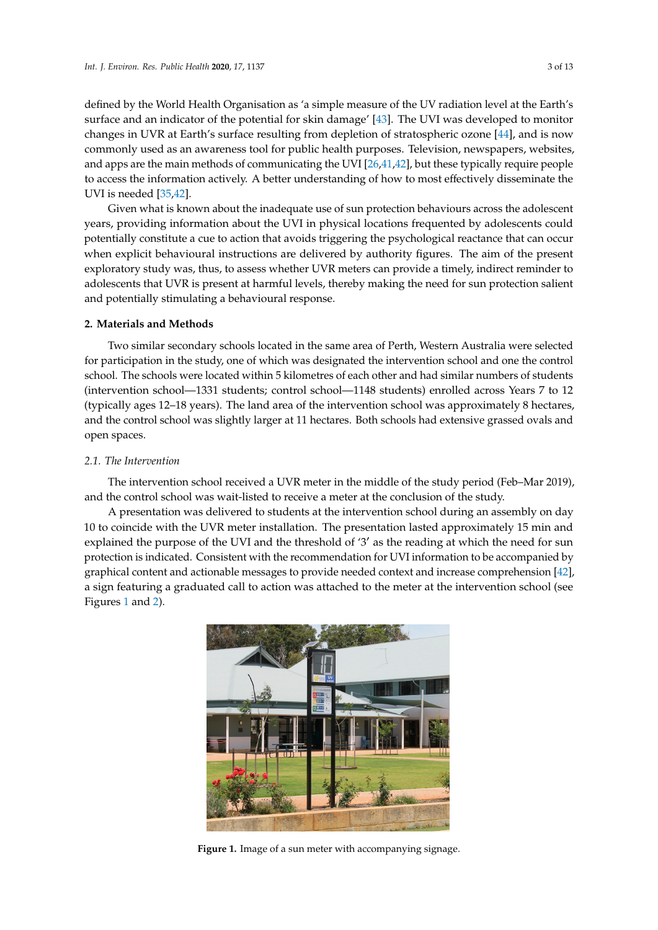defined by the World Health Organisation as 'a simple measure of the UV radiation level at the Earth's surface and an indicator of the potential for skin damage' [\[43\]](#page-12-13). The UVI was developed to monitor changes in UVR at Earth's surface resulting from depletion of stratospheric ozone [\[44\]](#page-12-14), and is now commonly used as an awareness tool for public health purposes. Television, newspapers, websites, and apps are the main methods of communicating the UVI [\[26,](#page-12-0)[41,](#page-12-11)[42\]](#page-12-12), but these typically require people to access the information actively. A better understanding of how to most effectively disseminate the UVI is needed [\[35](#page-12-5)[,42\]](#page-12-12).

Given what is known about the inadequate use of sun protection behaviours across the adolescent years, providing information about the UVI in physical locations frequented by adolescents could potentially constitute a cue to action that avoids triggering the psychological reactance that can occur when explicit behavioural instructions are delivered by authority figures. The aim of the present exploratory study was, thus, to assess whether UVR meters can provide a timely, indirect reminder to adolescents that UVR is present at harmful levels, thereby making the need for sun protection salient and potentially stimulating a behavioural response.

## **2. Materials and Methods is now commonly used as an awareness tool for purposes. Television**, newspapers, newspapers, newspapers, newspapers, newspapers, newspapers, newspapers, newspapers, newspapers, newspapers, newsp

Two similar secondary schools located in the same area of Perth, Western Australia were selected for participation in the study, one of which was designated the intervention school and one the control school. The schools were located within 5 kilometres of each other and had similar numbers of students (intervention school—1331 students; control school—1148 students) enrolled across Years 7 to 12 (typically ages 12–18 years). The land area of the intervention school was approximately 8 hectares, and the control school was slightly larger at 11 hectares. Both schools had extensive grassed ovals and open spaces. required becoming better periodis to active the information and the total to most and we to most effectively. ages 12–10 years). The land area of the intervention school was approximately  $\alpha$ the complete reminder to adolescents that UVR is present at harmful levels, thereby making the  $\mathbf{r}$ 

#### *2.1. The Intervention*

The intervention school received a UVR meter in the middle of the study period (Feb–Mar 2019), and the control school was wait-listed to receive a meter at the conclusion of the study.

<span id="page-3-0"></span>A presentation was delivered to students at the intervention school during an assembly on day 10 to coincide with the UVR meter installation. The presentation lasted approximately 15 min and explained the purpose of the UVI and the threshold of '3' as the reading at which the need for sun protection is indicated. Consistent with the recommendation for UVI information to be accompanied by graphical content and actionable messages to provide needed context and increase comprehension [\[42\]](#page-12-12), a sign featuring a graduated call to action was attached to the meter at the intervention school (see Figures [1](#page-3-0) and [2\)](#page-4-0). erde with the UVA free Holdington. The presentation flored approximately re  $T$ and the control school was was was was waited to  $\mathcal{L}$ 



**Figure 1.** Image of a sun meter with accompanying signage. **Figure 1.** Image of a sun meter with accompanying signage.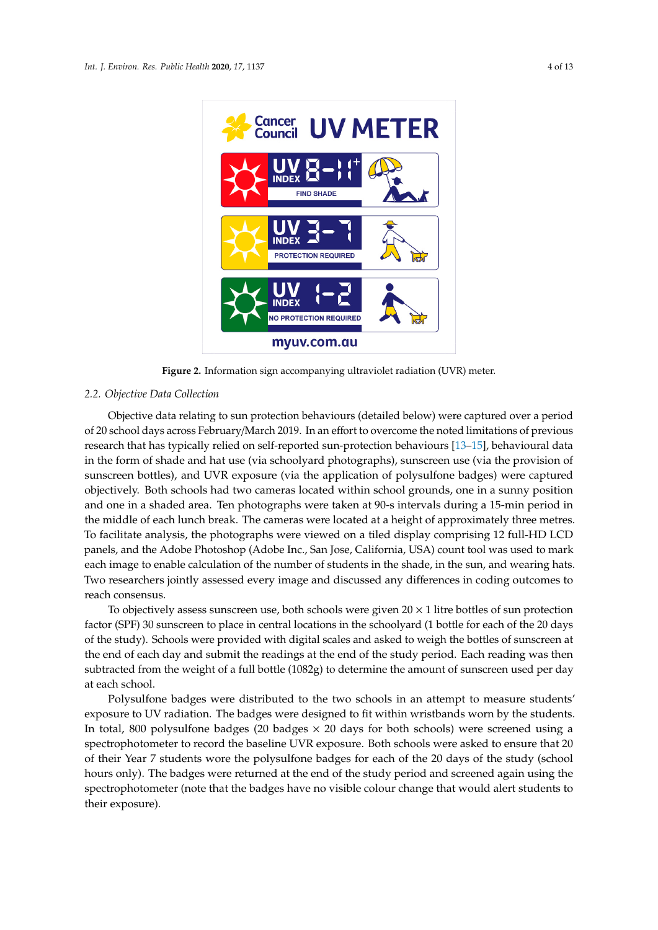<span id="page-4-0"></span>

**Figure 2.** Information sign accompanying ultraviolet radiation (UVR) meter. **Figure 2.** Information sign accompanying ultraviolet radiation (UVR) meter.

# *2.2. Objective Data Collection 2.2. Objective Data Collection*

Objective data relating to sun protection behaviours (detailed below) were captured over a Objective data relating to sun protection behaviours (detailed below) were captured over a period period of 20 school days across February/March 2019. In an effort to overcome the noted limitations of 20 school days across February/March 2019. In an effort to overcome the noted limitations of previous research that has typically relied on self-reported sun-protection behaviours [\[13–](#page-11-13)[15\]](#page-11-10), behavioural data in the form of shade and hat use (via schoolyard photographs), sunscreen use (via the provision of sunscreen bottles), and UVR exposure (via the application of polysulfone badges) were captured objectively. Both schools had two cameras located within school grounds, one in a sunny position and one in a shaded area. Ten photographs were taken at 90-s intervals during a 15-min period in the middle of each lunch break. The cameras were located at a height of approximately three metres. To facilitate analysis, the photographs were viewed on a tiled display comprising 12 full-HD LCD panels, and the Adobe Photoshop (Adobe Inc., San Jose, California, USA) count tool was used to mark each image to enable calculation of the number of students in the shade, in the sun, and wearing hats. Two researchers jointly assessed every image and discussed any differences in coding outcomes to reach consensus.

To objectively assess sunscreen use, both schools were given  $20 \times 1$  litre bottles of sun protection factor (SPF) 30 sunscreen to place in central locations in the schoolyard (1 bottle for each of the 20 factor (SPF) 30 sunscreen to place in central locations in the schoolyard (1 bottle for each of the 20 days of the study). Schools were provided with digital scales and asked to weigh the bottles of sunscreen at the end of each day and submit the readings at the end of the study period. Each reading was then subtracted from the weight of a full bottle (1082g) to determine the amount of sunscreen used per day at each school.

Polysulfone badges were distributed to the two schools in an attempt to measure students' Polysulfone badges were distributed to the two schools in an attempt to measure students' exposure to UV radiation. The badges were designed to fit within wristbands worn by the students. exposure to UV radiation. The badges were designed to fit within wristbands worn by the students. In total, 800 polysulfone badges  $(20$  badges  $\times$  20 days for both schools) were screened using a spectrophotometer to record the baseline UVR exposure. Both schools were asked to ensure that 20 spectrophotometer to record the baseline UVR exposure. Both schools were asked to ensure that 20 of their Year 7 students wore the polysulfone badges for each of the 20 days of the study (school hours only). The badges were returned at the end of the study period and screened again using the spectrophotometer (note that the badges have no visible colour change that would alert students to spectrophotometer (note that the badges have no visible colour change that would alert students to their exposure). their exposure).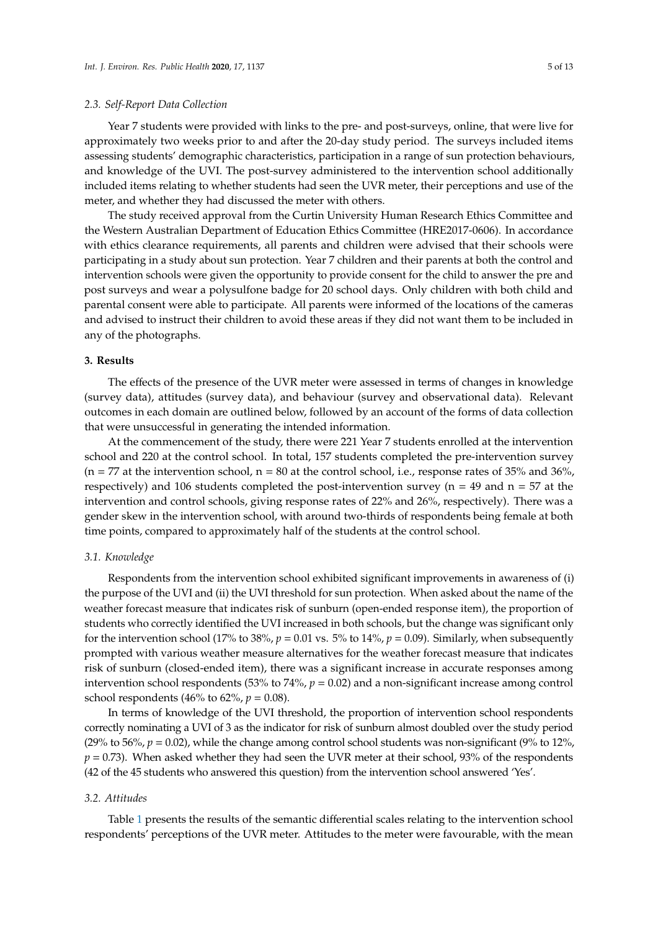#### *2.3. Self-Report Data Collection*

Year 7 students were provided with links to the pre- and post-surveys, online, that were live for approximately two weeks prior to and after the 20-day study period. The surveys included items assessing students' demographic characteristics, participation in a range of sun protection behaviours, and knowledge of the UVI. The post-survey administered to the intervention school additionally included items relating to whether students had seen the UVR meter, their perceptions and use of the meter, and whether they had discussed the meter with others.

The study received approval from the Curtin University Human Research Ethics Committee and the Western Australian Department of Education Ethics Committee (HRE2017-0606). In accordance with ethics clearance requirements, all parents and children were advised that their schools were participating in a study about sun protection. Year 7 children and their parents at both the control and intervention schools were given the opportunity to provide consent for the child to answer the pre and post surveys and wear a polysulfone badge for 20 school days. Only children with both child and parental consent were able to participate. All parents were informed of the locations of the cameras and advised to instruct their children to avoid these areas if they did not want them to be included in any of the photographs.

### **3. Results**

The effects of the presence of the UVR meter were assessed in terms of changes in knowledge (survey data), attitudes (survey data), and behaviour (survey and observational data). Relevant outcomes in each domain are outlined below, followed by an account of the forms of data collection that were unsuccessful in generating the intended information.

At the commencement of the study, there were 221 Year 7 students enrolled at the intervention school and 220 at the control school. In total, 157 students completed the pre-intervention survey  $(n = 77$  at the intervention school,  $n = 80$  at the control school, i.e., response rates of 35% and 36%, respectively) and 106 students completed the post-intervention survey ( $n = 49$  and  $n = 57$  at the intervention and control schools, giving response rates of 22% and 26%, respectively). There was a gender skew in the intervention school, with around two-thirds of respondents being female at both time points, compared to approximately half of the students at the control school.

#### *3.1. Knowledge*

Respondents from the intervention school exhibited significant improvements in awareness of (i) the purpose of the UVI and (ii) the UVI threshold for sun protection. When asked about the name of the weather forecast measure that indicates risk of sunburn (open-ended response item), the proportion of students who correctly identified the UVI increased in both schools, but the change was significant only for the intervention school (17% to 38%,  $p = 0.01$  vs. 5% to 14%,  $p = 0.09$ ). Similarly, when subsequently prompted with various weather measure alternatives for the weather forecast measure that indicates risk of sunburn (closed-ended item), there was a significant increase in accurate responses among intervention school respondents (53% to 74%, *p* = 0.02) and a non-significant increase among control school respondents (46% to 62%,  $p = 0.08$ ).

In terms of knowledge of the UVI threshold, the proportion of intervention school respondents correctly nominating a UVI of 3 as the indicator for risk of sunburn almost doubled over the study period (29% to 56%,  $p = 0.02$ ), while the change among control school students was non-significant (9% to 12%,  $p = 0.73$ ). When asked whether they had seen the UVR meter at their school, 93% of the respondents (42 of the 45 students who answered this question) from the intervention school answered 'Yes'.

#### *3.2. Attitudes*

Table [1](#page-6-0) presents the results of the semantic differential scales relating to the intervention school respondents' perceptions of the UVR meter. Attitudes to the meter were favourable, with the mean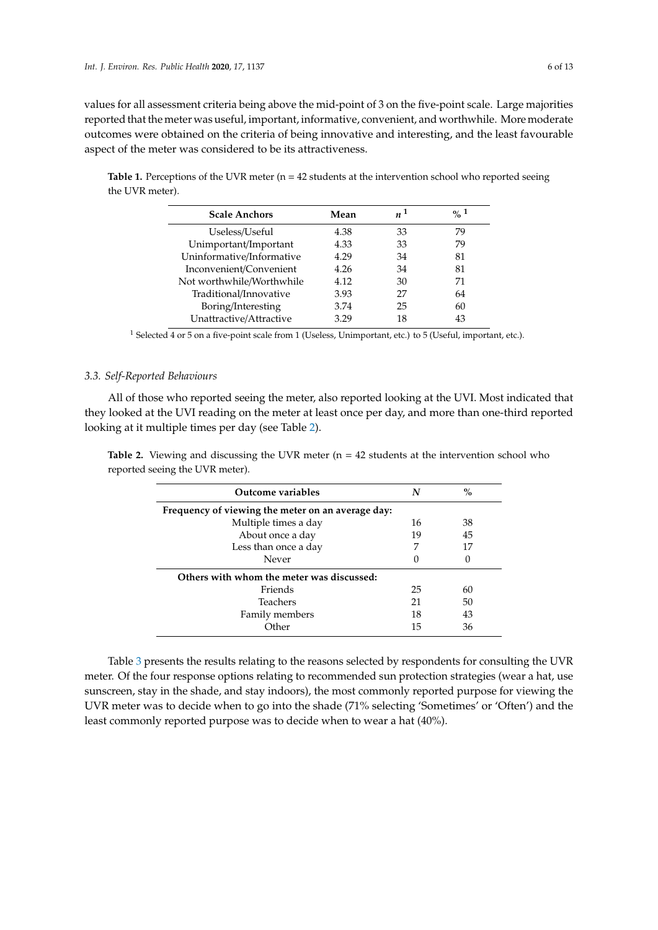values for all assessment criteria being above the mid-point of 3 on the five-point scale. Large majorities reported that the meter was useful, important, informative, convenient, and worthwhile. More moderate outcomes were obtained on the criteria of being innovative and interesting, and the least favourable aspect of the meter was considered to be its attractiveness.

<span id="page-6-0"></span>**Table 1.** Perceptions of the UVR meter (n = 42 students at the intervention school who reported seeing the UVR meter).

| Mean | $n^1$ | $\frac{0}{2}$ 1 |
|------|-------|-----------------|
| 4.38 | 33    | 79              |
| 4.33 | 33    | 79              |
| 4.29 | 34    | 81              |
| 4.26 | 34    | 81              |
| 4.12 | 30    | 71              |
| 3.93 | 27    | 64              |
| 3.74 | 25    | 60              |
| 3.29 | 18    | 43              |
|      |       |                 |

<sup>1</sup> Selected 4 or 5 on a five-point scale from 1 (Useless, Unimportant, etc.) to 5 (Useful, important, etc.).

#### *3.3. Self-Reported Behaviours*

All of those who reported seeing the meter, also reported looking at the UVI. Most indicated that they looked at the UVI reading on the meter at least once per day, and more than one-third reported looking at it multiple times per day (see Table [2\)](#page-6-1).

<span id="page-6-1"></span>**Table 2.** Viewing and discussing the UVR meter  $(n = 42$  students at the intervention school who reported seeing the UVR meter).

| <b>Outcome variables</b>                          | N  | $\%$ |  |  |  |  |  |
|---------------------------------------------------|----|------|--|--|--|--|--|
| Frequency of viewing the meter on an average day: |    |      |  |  |  |  |  |
| Multiple times a day                              | 16 | 38   |  |  |  |  |  |
| About once a day                                  | 19 | 45   |  |  |  |  |  |
| Less than once a day                              | 7  | 17   |  |  |  |  |  |
| Never                                             |    |      |  |  |  |  |  |
| Others with whom the meter was discussed:         |    |      |  |  |  |  |  |
| Friends                                           | 25 | 60   |  |  |  |  |  |
| Teachers                                          | 21 | 50   |  |  |  |  |  |
| Family members                                    | 18 | 43   |  |  |  |  |  |
| . Ther                                            | 15 | 36   |  |  |  |  |  |

Table [3](#page-7-0) presents the results relating to the reasons selected by respondents for consulting the UVR meter. Of the four response options relating to recommended sun protection strategies (wear a hat, use sunscreen, stay in the shade, and stay indoors), the most commonly reported purpose for viewing the UVR meter was to decide when to go into the shade (71% selecting 'Sometimes' or 'Often') and the least commonly reported purpose was to decide when to wear a hat (40%).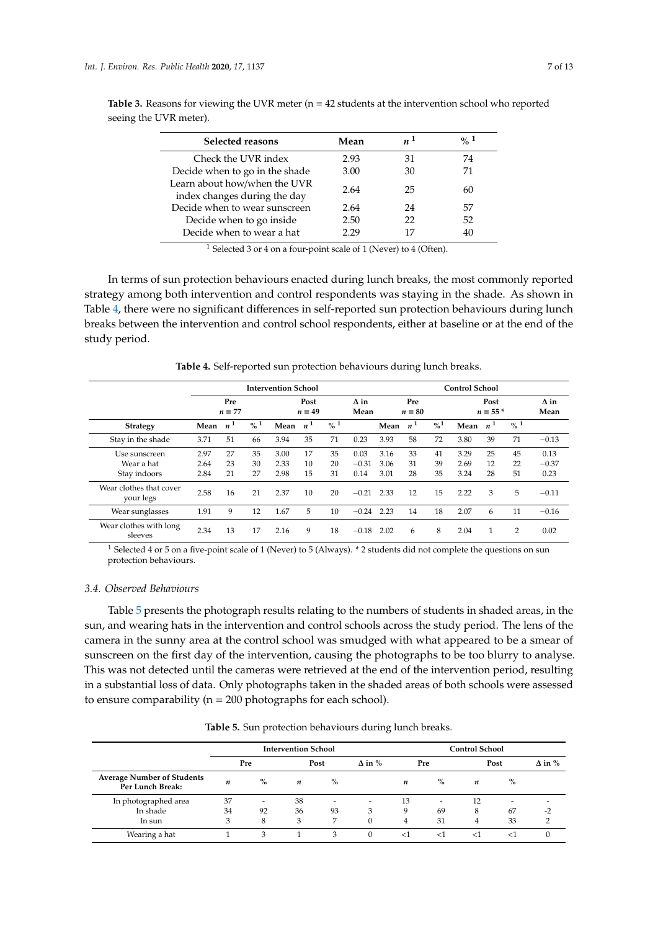| Selected reasons                                             | Mean | $n^1$ | $\frac{0}{2}$ 1 |
|--------------------------------------------------------------|------|-------|-----------------|
| Check the UVR index                                          | 2.93 | 31    | 74              |
| Decide when to go in the shade                               | 3.00 | 30    | 71              |
| Learn about how/when the UVR<br>index changes during the day | 2.64 | 25    | 60              |
| Decide when to wear sunscreen                                | 2.64 | 24    | 57              |
| Decide when to go inside                                     | 2.50 | 22    | 52              |
| Decide when to wear a hat                                    | 2.29 | 17    | 40              |

<span id="page-7-0"></span>**Table 3.** Reasons for viewing the UVR meter  $(n = 42$  students at the intervention school who reported seeing the UVR meter).

<sup>1</sup> Selected 3 or 4 on a four-point scale of 1 (Never) to 4 (Often).

In terms of sun protection behaviours enacted during lunch breaks, the most commonly reported strategy among both intervention and control respondents was staying in the shade. As shown in Table [4,](#page-7-1) there were no significant differences in self-reported sun protection behaviours during lunch breaks between the intervention and control school respondents, either at baseline or at the end of the study period.

<span id="page-7-1"></span>**Intervention School Control School Pre** *n* = **77 Post**  $n = 49$ **∆ in Mean Pre** *n* = **80 Post**  $n = 55$  \* **∆ in Mean Strategy Mean** *n* **<sup>1</sup> % <sup>1</sup> Mean** *n* **<sup>1</sup> % <sup>1</sup> Mean** *n* **<sup>1</sup> %<sup>1</sup> Mean** *n* **<sup>1</sup> % <sup>1</sup>** Stay in the shade 3.71 51 66 3.94 35 71 0.23 3.93 58 72 3.80 39 71 −0.13 Use sunscreen 2.97 27 35 3.00 17 35 0.03 3.16 33 41 3.29 25 45 0.13 Wear a hat 2.64 23 30 2.33 10 20 −0.31 3.06 31 39 2.69 12 22 −0.37

Stay indoors 2.84 21 27 2.98 15 31 0.14 3.01 28 35 3.24 28 51 0.23

your legs 2.58 16 21 2.37 10 20 <sup>−</sup>0.21 2.33 12 15 2.22 3 5 <sup>−</sup>0.11 Wear sunglasses 1.91 9 12 1.67 5 10 −0.24 2.23 14 18 2.07 6 11 −0.16

stnes with long<br>sleeves 2.34 13 17 2.16 9 18 −0.18 2.02 6 8 2.04 1 2 0.02

**Table 4.** Self-reported sun protection behaviours during lunch breaks.

 $1$  Selected 4 or 5 on a five-point scale of 1 (Never) to 5 (Always). \* 2 students did not complete the questions on sun protection behaviours.

#### *3.4. Observed Behaviours*

Wear clothes that cover

Wear clothes with long

Table [5](#page-7-2) presents the photograph results relating to the numbers of students in shaded areas, in the sun, and wearing hats in the intervention and control schools across the study period. The lens of the camera in the sunny area at the control school was smudged with what appeared to be a smear of sunscreen on the first day of the intervention, causing the photographs to be too blurry to analyse. This was not detected until the cameras were retrieved at the end of the intervention period, resulting in a substantial loss of data. Only photographs taken in the shaded areas of both schools were assessed to ensure comparability ( $n = 200$  photographs for each school).

<span id="page-7-2"></span>

|                                                       |    |      | <b>Intervention School</b> |      |               | <b>Control School</b> |       |    |      |               |
|-------------------------------------------------------|----|------|----------------------------|------|---------------|-----------------------|-------|----|------|---------------|
|                                                       |    | Pre  |                            | Post | $\Delta$ in % |                       | Pre   |    | Post | $\Delta$ in % |
| <b>Average Number of Students</b><br>Per Lunch Break: | n  | $\%$ | n                          | $\%$ |               | n                     | $\%$  | n  | $\%$ |               |
| In photographed area                                  | 37 |      | 38                         | -    | -             | 13                    | ۰     | 12 | ۰    |               |
| In shade                                              | 34 | 92   | 36                         | 93   | 3             | 9                     | 69    | 8  | 67   | $-2$          |
| In sun                                                | 3  | 8    | 3                          | 7    | $\Omega$      | 4                     | 31    | 4  | 33   |               |
| Wearing a hat                                         |    | 3    |                            | 3    | $\Omega$      | <1                    | $<$ 1 | -1 | -1   |               |

**Table 5.** Sun protection behaviours during lunch breaks.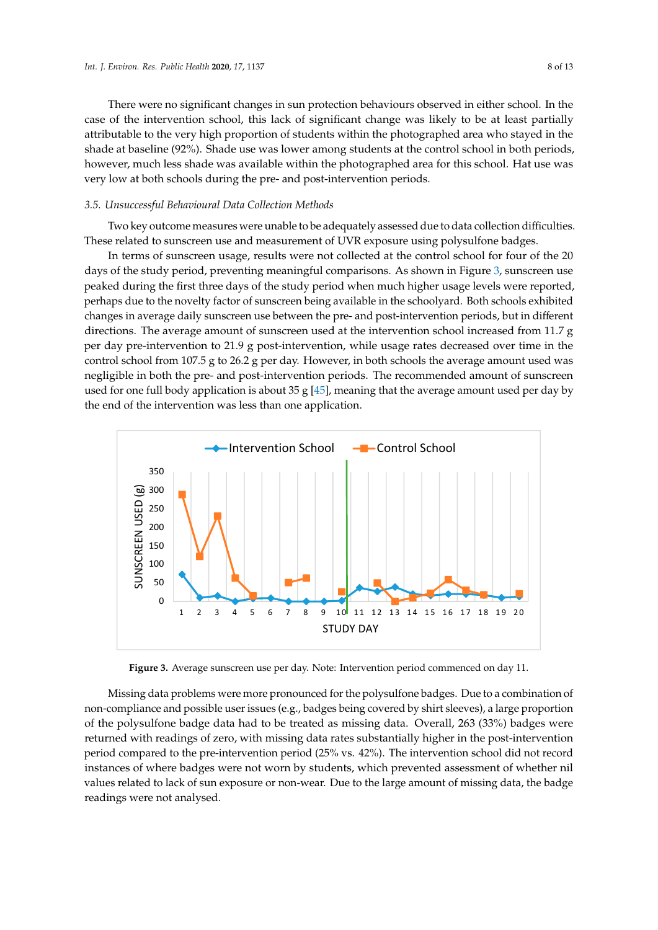There were no significant changes in sun protection behaviours observed in either school. In the case of the intervention school, this lack of significant change was likely to be at least partially attributable to the very high proportion of students within the photographed area who stayed in the shade at baseline (92%). Shade use was lower among students at the control school in both periods, however, much less shade was available within the photographed area for this school. Hat use was very low at both schools during the pre- and post-intervention periods.

#### *3.5. Unsuccessful Behavioural Data Collection Methods 3.5. Unsuccessful Behavioural Data Collection Methods*

Two key outcome measures were unable to be adequately assessed due to data collection difficulties. These related to sunscreen use and measurement of UVR exposure using polysulfone badges. Two key outcome measures were unable to be adequately assessed due to data collection difference relatives were unable to be adequately assessed due to data conection unificulties.

In terms of sunscreen usage, results were not collected at the control school for four of the 20 days of the study period, preventing meaningful comparisons. As shown in Figure [3,](#page-8-0) sunscreen use days of the study period, preventing meaningful comparisons. As shown in Figure 3, sunscreen use peaked during the first three days of the study period when much higher usage levels were reported, peaked during the first three days of the study period when much higher usage levels were reported, perhaps due to the novelty factor of sunscreen being available in the schoolyard. Both schools exhibited perhaps due to the novelty factor of sunscreen being available in the schoolyard. Both schools changes in average daily sunscreen use between the pre- and post-intervention periods, but in different to the directions. The average amount of sunscreen used at the intervention school increased from 11.7  $\text{g}$ per day pre-intervention to 21.9 g post-intervention, while usage rates decreased over time in the control school from 107.5 g to 26.2 g per day. However, in both schools the average amount used was negligible in both the pre- and post-intervention periods. The recommended amount of sunscreen used for one full body application is about 35 g  $[45]$ , meaning that the average amount used per day by the end of the intervention was less than one application.

<span id="page-8-0"></span>

**Figure 3.** Average sunscreen use per day. **Figure 3.** Average sunscreen use per day. Note: Intervention period commenced on day 11.

Missing data problems were more pronounced for the polysulfone badges. Due to a combination of of the polysulfone badge data had to be treated as missing data. Overall, 263 (33%) badges were returned with readings of zero, with missing data rates substantially higher in the post-intervention period compared to the pre-intervention period (25% vs. 42%). The intervention school did not record instances of where badges were not worn by students, which prevented assessment of whether nil values related to lack of sun exposure or non-wear. Due to the large amount of missing data, the badge readings were not analysed. The whole prevent students, which prevented as sessment as sessment as  $\alpha$ non-compliance and possible user issues (e.g., badges being covered by shirt sleeves), a large proportion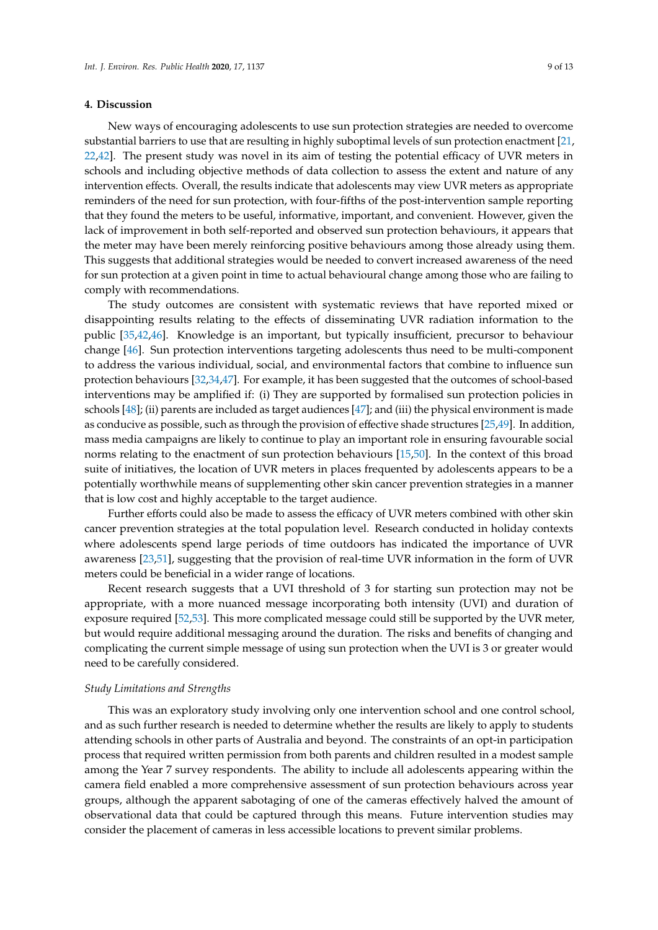#### **4. Discussion**

New ways of encouraging adolescents to use sun protection strategies are needed to overcome substantial barriers to use that are resulting in highly suboptimal levels of sun protection enactment [\[21,](#page-11-19) [22](#page-11-15)[,42\]](#page-12-12). The present study was novel in its aim of testing the potential efficacy of UVR meters in schools and including objective methods of data collection to assess the extent and nature of any intervention effects. Overall, the results indicate that adolescents may view UVR meters as appropriate reminders of the need for sun protection, with four-fifths of the post-intervention sample reporting that they found the meters to be useful, informative, important, and convenient. However, given the lack of improvement in both self-reported and observed sun protection behaviours, it appears that the meter may have been merely reinforcing positive behaviours among those already using them. This suggests that additional strategies would be needed to convert increased awareness of the need for sun protection at a given point in time to actual behavioural change among those who are failing to comply with recommendations.

The study outcomes are consistent with systematic reviews that have reported mixed or disappointing results relating to the effects of disseminating UVR radiation information to the public [\[35](#page-12-5)[,42](#page-12-12)[,46\]](#page-12-16). Knowledge is an important, but typically insufficient, precursor to behaviour change [\[46\]](#page-12-16). Sun protection interventions targeting adolescents thus need to be multi-component to address the various individual, social, and environmental factors that combine to influence sun protection behaviours [\[32](#page-12-2)[,34](#page-12-4)[,47\]](#page-12-17). For example, it has been suggested that the outcomes of school-based interventions may be amplified if: (i) They are supported by formalised sun protection policies in schools [\[48\]](#page-13-0); (ii) parents are included as target audiences [\[47\]](#page-12-17); and (iii) the physical environment is made as conducive as possible, such as through the provision of effective shade structures [\[25](#page-11-18)[,49\]](#page-13-1). In addition, mass media campaigns are likely to continue to play an important role in ensuring favourable social norms relating to the enactment of sun protection behaviours [\[15](#page-11-10)[,50\]](#page-13-2). In the context of this broad suite of initiatives, the location of UVR meters in places frequented by adolescents appears to be a potentially worthwhile means of supplementing other skin cancer prevention strategies in a manner that is low cost and highly acceptable to the target audience.

Further efforts could also be made to assess the efficacy of UVR meters combined with other skin cancer prevention strategies at the total population level. Research conducted in holiday contexts where adolescents spend large periods of time outdoors has indicated the importance of UVR awareness [\[23](#page-11-16)[,51\]](#page-13-3), suggesting that the provision of real-time UVR information in the form of UVR meters could be beneficial in a wider range of locations.

Recent research suggests that a UVI threshold of 3 for starting sun protection may not be appropriate, with a more nuanced message incorporating both intensity (UVI) and duration of exposure required [\[52](#page-13-4)[,53\]](#page-13-5). This more complicated message could still be supported by the UVR meter, but would require additional messaging around the duration. The risks and benefits of changing and complicating the current simple message of using sun protection when the UVI is 3 or greater would need to be carefully considered.

#### *Study Limitations and Strengths*

This was an exploratory study involving only one intervention school and one control school, and as such further research is needed to determine whether the results are likely to apply to students attending schools in other parts of Australia and beyond. The constraints of an opt-in participation process that required written permission from both parents and children resulted in a modest sample among the Year 7 survey respondents. The ability to include all adolescents appearing within the camera field enabled a more comprehensive assessment of sun protection behaviours across year groups, although the apparent sabotaging of one of the cameras effectively halved the amount of observational data that could be captured through this means. Future intervention studies may consider the placement of cameras in less accessible locations to prevent similar problems.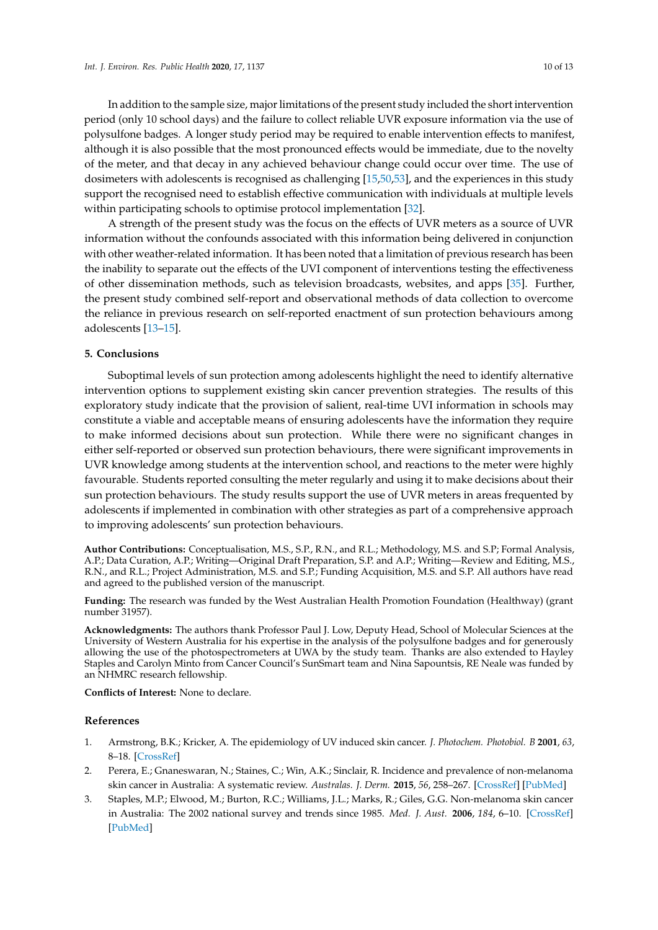In addition to the sample size, major limitations of the present study included the short intervention period (only 10 school days) and the failure to collect reliable UVR exposure information via the use of polysulfone badges. A longer study period may be required to enable intervention effects to manifest, although it is also possible that the most pronounced effects would be immediate, due to the novelty of the meter, and that decay in any achieved behaviour change could occur over time. The use of dosimeters with adolescents is recognised as challenging [\[15,](#page-11-10)[50,](#page-13-2)[53\]](#page-13-5), and the experiences in this study support the recognised need to establish effective communication with individuals at multiple levels within participating schools to optimise protocol implementation [\[32\]](#page-12-2).

A strength of the present study was the focus on the effects of UVR meters as a source of UVR information without the confounds associated with this information being delivered in conjunction with other weather-related information. It has been noted that a limitation of previous research has been the inability to separate out the effects of the UVI component of interventions testing the effectiveness of other dissemination methods, such as television broadcasts, websites, and apps [\[35\]](#page-12-5). Further, the present study combined self-report and observational methods of data collection to overcome the reliance in previous research on self-reported enactment of sun protection behaviours among adolescents [\[13](#page-11-13)[–15\]](#page-11-10).

#### **5. Conclusions**

Suboptimal levels of sun protection among adolescents highlight the need to identify alternative intervention options to supplement existing skin cancer prevention strategies. The results of this exploratory study indicate that the provision of salient, real-time UVI information in schools may constitute a viable and acceptable means of ensuring adolescents have the information they require to make informed decisions about sun protection. While there were no significant changes in either self-reported or observed sun protection behaviours, there were significant improvements in UVR knowledge among students at the intervention school, and reactions to the meter were highly favourable. Students reported consulting the meter regularly and using it to make decisions about their sun protection behaviours. The study results support the use of UVR meters in areas frequented by adolescents if implemented in combination with other strategies as part of a comprehensive approach to improving adolescents' sun protection behaviours.

**Author Contributions:** Conceptualisation, M.S., S.P., R.N., and R.L.; Methodology, M.S. and S.P; Formal Analysis, A.P.; Data Curation, A.P.; Writing—Original Draft Preparation, S.P. and A.P.; Writing—Review and Editing, M.S., R.N., and R.L.; Project Administration, M.S. and S.P.; Funding Acquisition, M.S. and S.P. All authors have read and agreed to the published version of the manuscript.

**Funding:** The research was funded by the West Australian Health Promotion Foundation (Healthway) (grant number 31957).

**Acknowledgments:** The authors thank Professor Paul J. Low, Deputy Head, School of Molecular Sciences at the University of Western Australia for his expertise in the analysis of the polysulfone badges and for generously allowing the use of the photospectrometers at UWA by the study team. Thanks are also extended to Hayley Staples and Carolyn Minto from Cancer Council's SunSmart team and Nina Sapountsis, RE Neale was funded by an NHMRC research fellowship.

**Conflicts of Interest:** None to declare.

#### **References**

- <span id="page-10-0"></span>1. Armstrong, B.K.; Kricker, A. The epidemiology of UV induced skin cancer. *J. Photochem. Photobiol. B* **2001**, *63*, 8–18. [\[CrossRef\]](http://dx.doi.org/10.1016/S1011-1344(01)00198-1)
- <span id="page-10-1"></span>2. Perera, E.; Gnaneswaran, N.; Staines, C.; Win, A.K.; Sinclair, R. Incidence and prevalence of non-melanoma skin cancer in Australia: A systematic review. *Australas. J. Derm.* **2015**, *56*, 258–267. [\[CrossRef\]](http://dx.doi.org/10.1111/ajd.12282) [\[PubMed\]](http://www.ncbi.nlm.nih.gov/pubmed/25716064)
- <span id="page-10-2"></span>3. Staples, M.P.; Elwood, M.; Burton, R.C.; Williams, J.L.; Marks, R.; Giles, G.G. Non-melanoma skin cancer in Australia: The 2002 national survey and trends since 1985. *Med. J. Aust.* **2006**, *184*, 6–10. [\[CrossRef\]](http://dx.doi.org/10.5694/j.1326-5377.2006.tb00086.x) [\[PubMed\]](http://www.ncbi.nlm.nih.gov/pubmed/16398622)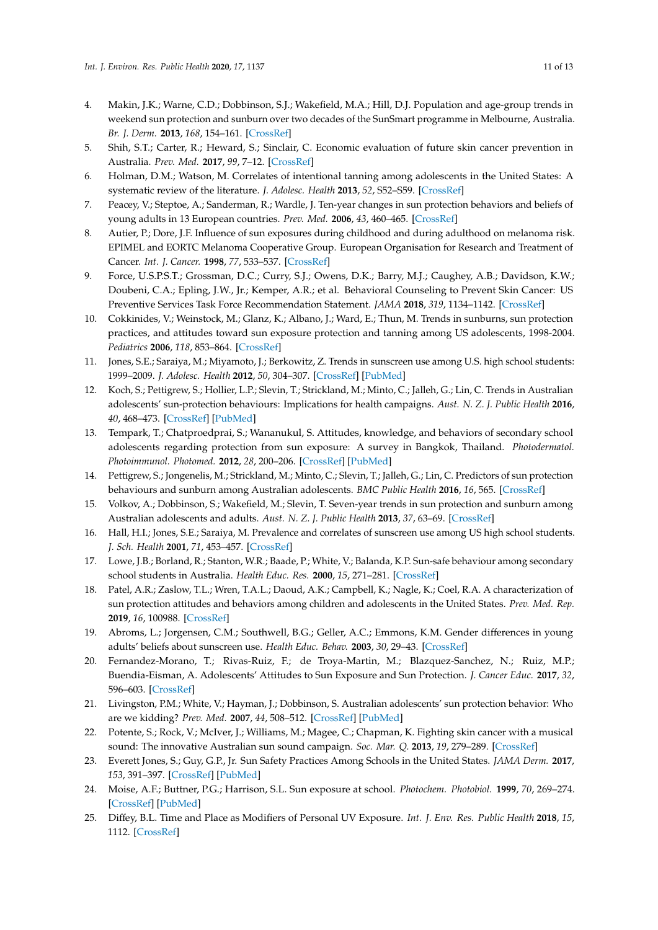- <span id="page-11-0"></span>4. Makin, J.K.; Warne, C.D.; Dobbinson, S.J.; Wakefield, M.A.; Hill, D.J. Population and age-group trends in weekend sun protection and sunburn over two decades of the SunSmart programme in Melbourne, Australia. *Br. J. Derm.* **2013**, *168*, 154–161. [\[CrossRef\]](http://dx.doi.org/10.1111/bjd.12082)
- <span id="page-11-1"></span>5. Shih, S.T.; Carter, R.; Heward, S.; Sinclair, C. Economic evaluation of future skin cancer prevention in Australia. *Prev. Med.* **2017**, *99*, 7–12. [\[CrossRef\]](http://dx.doi.org/10.1016/j.ypmed.2017.01.013)
- <span id="page-11-2"></span>6. Holman, D.M.; Watson, M. Correlates of intentional tanning among adolescents in the United States: A systematic review of the literature. *J. Adolesc. Health* **2013**, *52*, S52–S59. [\[CrossRef\]](http://dx.doi.org/10.1016/j.jadohealth.2012.09.021)
- <span id="page-11-3"></span>7. Peacey, V.; Steptoe, A.; Sanderman, R.; Wardle, J. Ten-year changes in sun protection behaviors and beliefs of young adults in 13 European countries. *Prev. Med.* **2006**, *43*, 460–465. [\[CrossRef\]](http://dx.doi.org/10.1016/j.ypmed.2006.07.010)
- <span id="page-11-4"></span>8. Autier, P.; Dore, J.F. Influence of sun exposures during childhood and during adulthood on melanoma risk. EPIMEL and EORTC Melanoma Cooperative Group. European Organisation for Research and Treatment of Cancer. *Int. J. Cancer.* **1998**, *77*, 533–537. [\[CrossRef\]](http://dx.doi.org/10.1002/(SICI)1097-0215(19980812)77:4<533::AID-IJC10>3.0.CO;2-7)
- <span id="page-11-5"></span>9. Force, U.S.P.S.T.; Grossman, D.C.; Curry, S.J.; Owens, D.K.; Barry, M.J.; Caughey, A.B.; Davidson, K.W.; Doubeni, C.A.; Epling, J.W., Jr.; Kemper, A.R.; et al. Behavioral Counseling to Prevent Skin Cancer: US Preventive Services Task Force Recommendation Statement. *JAMA* **2018**, *319*, 1134–1142. [\[CrossRef\]](http://dx.doi.org/10.1001/jama.2018.1623)
- <span id="page-11-6"></span>10. Cokkinides, V.; Weinstock, M.; Glanz, K.; Albano, J.; Ward, E.; Thun, M. Trends in sunburns, sun protection practices, and attitudes toward sun exposure protection and tanning among US adolescents, 1998-2004. *Pediatrics* **2006**, *118*, 853–864. [\[CrossRef\]](http://dx.doi.org/10.1542/peds.2005-3109)
- <span id="page-11-7"></span>11. Jones, S.E.; Saraiya, M.; Miyamoto, J.; Berkowitz, Z. Trends in sunscreen use among U.S. high school students: 1999–2009. *J. Adolesc. Health* **2012**, *50*, 304–307. [\[CrossRef\]](http://dx.doi.org/10.1016/j.jadohealth.2011.04.024) [\[PubMed\]](http://www.ncbi.nlm.nih.gov/pubmed/22325137)
- 12. Koch, S.; Pettigrew, S.; Hollier, L.P.; Slevin, T.; Strickland, M.; Minto, C.; Jalleh, G.; Lin, C. Trends in Australian adolescents' sun-protection behaviours: Implications for health campaigns. *Aust. N. Z. J. Public Health* **2016**, *40*, 468–473. [\[CrossRef\]](http://dx.doi.org/10.1111/1753-6405.12561) [\[PubMed\]](http://www.ncbi.nlm.nih.gov/pubmed/27523880)
- <span id="page-11-13"></span>13. Tempark, T.; Chatproedprai, S.; Wananukul, S. Attitudes, knowledge, and behaviors of secondary school adolescents regarding protection from sun exposure: A survey in Bangkok, Thailand. *Photodermatol. Photoimmunol. Photomed.* **2012**, *28*, 200–206. [\[CrossRef\]](http://dx.doi.org/10.1111/j.1600-0781.2012.00671.x) [\[PubMed\]](http://www.ncbi.nlm.nih.gov/pubmed/23017173)
- <span id="page-11-8"></span>14. Pettigrew, S.; Jongenelis, M.; Strickland, M.; Minto, C.; Slevin, T.; Jalleh, G.; Lin, C. Predictors of sun protection behaviours and sunburn among Australian adolescents. *BMC Public Health* **2016**, *16*, 565. [\[CrossRef\]](http://dx.doi.org/10.1186/s12889-016-3197-4)
- <span id="page-11-10"></span>15. Volkov, A.; Dobbinson, S.; Wakefield, M.; Slevin, T. Seven-year trends in sun protection and sunburn among Australian adolescents and adults. *Aust. N. Z. J. Public Health* **2013**, *37*, 63–69. [\[CrossRef\]](http://dx.doi.org/10.1111/1753-6405.12012)
- <span id="page-11-9"></span>16. Hall, H.I.; Jones, S.E.; Saraiya, M. Prevalence and correlates of sunscreen use among US high school students. *J. Sch. Health* **2001**, *71*, 453–457. [\[CrossRef\]](http://dx.doi.org/10.1111/j.1746-1561.2001.tb07325.x)
- <span id="page-11-11"></span>17. Lowe, J.B.; Borland, R.; Stanton, W.R.; Baade, P.; White, V.; Balanda, K.P. Sun-safe behaviour among secondary school students in Australia. *Health Educ. Res.* **2000**, *15*, 271–281. [\[CrossRef\]](http://dx.doi.org/10.1093/her/15.3.271)
- 18. Patel, A.R.; Zaslow, T.L.; Wren, T.A.L.; Daoud, A.K.; Campbell, K.; Nagle, K.; Coel, R.A. A characterization of sun protection attitudes and behaviors among children and adolescents in the United States. *Prev. Med. Rep.* **2019**, *16*, 100988. [\[CrossRef\]](http://dx.doi.org/10.1016/j.pmedr.2019.100988)
- <span id="page-11-12"></span>19. Abroms, L.; Jorgensen, C.M.; Southwell, B.G.; Geller, A.C.; Emmons, K.M. Gender differences in young adults' beliefs about sunscreen use. *Health Educ. Behav.* **2003**, *30*, 29–43. [\[CrossRef\]](http://dx.doi.org/10.1177/1090198102239257)
- <span id="page-11-14"></span>20. Fernandez-Morano, T.; Rivas-Ruiz, F.; de Troya-Martin, M.; Blazquez-Sanchez, N.; Ruiz, M.P.; Buendia-Eisman, A. Adolescents' Attitudes to Sun Exposure and Sun Protection. *J. Cancer Educ.* **2017**, *32*, 596–603. [\[CrossRef\]](http://dx.doi.org/10.1007/s13187-015-0976-z)
- <span id="page-11-19"></span>21. Livingston, P.M.; White, V.; Hayman, J.; Dobbinson, S. Australian adolescents' sun protection behavior: Who are we kidding? *Prev. Med.* **2007**, *44*, 508–512. [\[CrossRef\]](http://dx.doi.org/10.1016/j.ypmed.2007.02.015) [\[PubMed\]](http://www.ncbi.nlm.nih.gov/pubmed/17400286)
- <span id="page-11-15"></span>22. Potente, S.; Rock, V.; McIver, J.; Williams, M.; Magee, C.; Chapman, K. Fighting skin cancer with a musical sound: The innovative Australian sun sound campaign. *Soc. Mar. Q.* **2013**, *19*, 279–289. [\[CrossRef\]](http://dx.doi.org/10.1177/1524500413506583)
- <span id="page-11-16"></span>23. Everett Jones, S.; Guy, G.P., Jr. Sun Safety Practices Among Schools in the United States. *JAMA Derm.* **2017**, *153*, 391–397. [\[CrossRef\]](http://dx.doi.org/10.1001/jamadermatol.2016.6274) [\[PubMed\]](http://www.ncbi.nlm.nih.gov/pubmed/28257534)
- <span id="page-11-17"></span>24. Moise, A.F.; Buttner, P.G.; Harrison, S.L. Sun exposure at school. *Photochem. Photobiol.* **1999**, *70*, 269–274. [\[CrossRef\]](http://dx.doi.org/10.1111/j.1751-1097.1999.tb07999.x) [\[PubMed\]](http://www.ncbi.nlm.nih.gov/pubmed/10461467)
- <span id="page-11-18"></span>25. Diffey, B.L. Time and Place as Modifiers of Personal UV Exposure. *Int. J. Env. Res. Public Health* **2018**, *15*, 1112. [\[CrossRef\]](http://dx.doi.org/10.3390/ijerph15061112)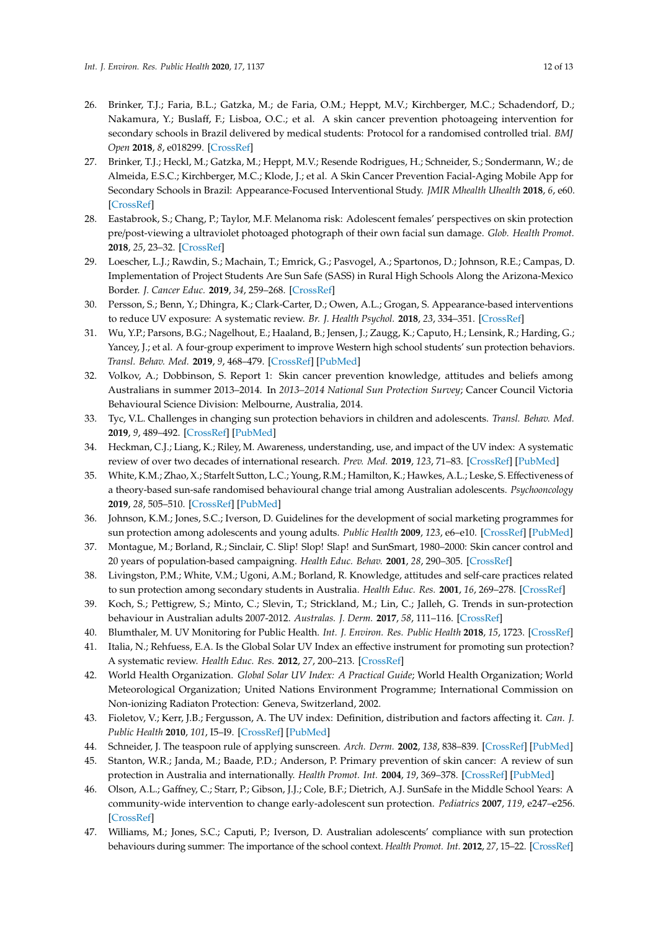- <span id="page-12-0"></span>26. Brinker, T.J.; Faria, B.L.; Gatzka, M.; de Faria, O.M.; Heppt, M.V.; Kirchberger, M.C.; Schadendorf, D.; Nakamura, Y.; Buslaff, F.; Lisboa, O.C.; et al. A skin cancer prevention photoageing intervention for secondary schools in Brazil delivered by medical students: Protocol for a randomised controlled trial. *BMJ Open* **2018**, *8*, e018299. [\[CrossRef\]](http://dx.doi.org/10.1136/bmjopen-2017-018299)
- <span id="page-12-1"></span>27. Brinker, T.J.; Heckl, M.; Gatzka, M.; Heppt, M.V.; Resende Rodrigues, H.; Schneider, S.; Sondermann, W.; de Almeida, E.S.C.; Kirchberger, M.C.; Klode, J.; et al. A Skin Cancer Prevention Facial-Aging Mobile App for Secondary Schools in Brazil: Appearance-Focused Interventional Study. *JMIR Mhealth Uhealth* **2018**, *6*, e60. [\[CrossRef\]](http://dx.doi.org/10.2196/mhealth.9794)
- 28. Eastabrook, S.; Chang, P.; Taylor, M.F. Melanoma risk: Adolescent females' perspectives on skin protection pre/post-viewing a ultraviolet photoaged photograph of their own facial sun damage. *Glob. Health Promot.* **2018**, *25*, 23–32. [\[CrossRef\]](http://dx.doi.org/10.1177/1757975916639871)
- 29. Loescher, L.J.; Rawdin, S.; Machain, T.; Emrick, G.; Pasvogel, A.; Spartonos, D.; Johnson, R.E.; Campas, D. Implementation of Project Students Are Sun Safe (SASS) in Rural High Schools Along the Arizona-Mexico Border. *J. Cancer Educ.* **2019**, *34*, 259–268. [\[CrossRef\]](http://dx.doi.org/10.1007/s13187-017-1296-2)
- 30. Persson, S.; Benn, Y.; Dhingra, K.; Clark-Carter, D.; Owen, A.L.; Grogan, S. Appearance-based interventions to reduce UV exposure: A systematic review. *Br. J. Health Psychol.* **2018**, *23*, 334–351. [\[CrossRef\]](http://dx.doi.org/10.1111/bjhp.12291)
- 31. Wu, Y.P.; Parsons, B.G.; Nagelhout, E.; Haaland, B.; Jensen, J.; Zaugg, K.; Caputo, H.; Lensink, R.; Harding, G.; Yancey, J.; et al. A four-group experiment to improve Western high school students' sun protection behaviors. *Transl. Behav. Med.* **2019**, *9*, 468–479. [\[CrossRef\]](http://dx.doi.org/10.1093/tbm/ibz021) [\[PubMed\]](http://www.ncbi.nlm.nih.gov/pubmed/31094440)
- <span id="page-12-2"></span>32. Volkov, A.; Dobbinson, S. Report 1: Skin cancer prevention knowledge, attitudes and beliefs among Australians in summer 2013–2014. In *2013–2014 National Sun Protection Survey*; Cancer Council Victoria Behavioural Science Division: Melbourne, Australia, 2014.
- <span id="page-12-3"></span>33. Tyc, V.L. Challenges in changing sun protection behaviors in children and adolescents. *Transl. Behav. Med.* **2019**, *9*, 489–492. [\[CrossRef\]](http://dx.doi.org/10.1093/tbm/ibz054) [\[PubMed\]](http://www.ncbi.nlm.nih.gov/pubmed/31094431)
- <span id="page-12-4"></span>34. Heckman, C.J.; Liang, K.; Riley, M. Awareness, understanding, use, and impact of the UV index: A systematic review of over two decades of international research. *Prev. Med.* **2019**, *123*, 71–83. [\[CrossRef\]](http://dx.doi.org/10.1016/j.ypmed.2019.03.004) [\[PubMed\]](http://www.ncbi.nlm.nih.gov/pubmed/30844501)
- <span id="page-12-5"></span>35. White, K.M.; Zhao, X.; Starfelt Sutton, L.C.; Young, R.M.; Hamilton, K.; Hawkes, A.L.; Leske, S. Effectiveness of a theory-based sun-safe randomised behavioural change trial among Australian adolescents. *Psychooncology* **2019**, *28*, 505–510. [\[CrossRef\]](http://dx.doi.org/10.1002/pon.4967) [\[PubMed\]](http://www.ncbi.nlm.nih.gov/pubmed/30552786)
- <span id="page-12-6"></span>36. Johnson, K.M.; Jones, S.C.; Iverson, D. Guidelines for the development of social marketing programmes for sun protection among adolescents and young adults. *Public Health* **2009**, *123*, e6–e10. [\[CrossRef\]](http://dx.doi.org/10.1016/j.puhe.2009.06.018) [\[PubMed\]](http://www.ncbi.nlm.nih.gov/pubmed/19748644)
- <span id="page-12-7"></span>37. Montague, M.; Borland, R.; Sinclair, C. Slip! Slop! Slap! and SunSmart, 1980–2000: Skin cancer control and 20 years of population-based campaigning. *Health Educ. Behav.* **2001**, *28*, 290–305. [\[CrossRef\]](http://dx.doi.org/10.1177/109019810102800304)
- <span id="page-12-8"></span>38. Livingston, P.M.; White, V.M.; Ugoni, A.M.; Borland, R. Knowledge, attitudes and self-care practices related to sun protection among secondary students in Australia. *Health Educ. Res.* **2001**, *16*, 269–278. [\[CrossRef\]](http://dx.doi.org/10.1093/her/16.3.269)
- <span id="page-12-9"></span>39. Koch, S.; Pettigrew, S.; Minto, C.; Slevin, T.; Strickland, M.; Lin, C.; Jalleh, G. Trends in sun-protection behaviour in Australian adults 2007-2012. *Australas. J. Derm.* **2017**, *58*, 111–116. [\[CrossRef\]](http://dx.doi.org/10.1111/ajd.12433)
- <span id="page-12-10"></span>40. Blumthaler, M. UV Monitoring for Public Health. *Int. J. Environ. Res. Public Health* **2018**, *15*, 1723. [\[CrossRef\]](http://dx.doi.org/10.3390/ijerph15081723)
- <span id="page-12-11"></span>41. Italia, N.; Rehfuess, E.A. Is the Global Solar UV Index an effective instrument for promoting sun protection? A systematic review. *Health Educ. Res.* **2012**, *27*, 200–213. [\[CrossRef\]](http://dx.doi.org/10.1093/her/cyr050)
- <span id="page-12-12"></span>42. World Health Organization. *Global Solar UV Index: A Practical Guide*; World Health Organization; World Meteorological Organization; United Nations Environment Programme; International Commission on Non-ionizing Radiaton Protection: Geneva, Switzerland, 2002.
- <span id="page-12-13"></span>43. Fioletov, V.; Kerr, J.B.; Fergusson, A. The UV index: Definition, distribution and factors affecting it. *Can. J. Public Health* **2010**, *101*, I5–I9. [\[CrossRef\]](http://dx.doi.org/10.1007/BF03405303) [\[PubMed\]](http://www.ncbi.nlm.nih.gov/pubmed/21033538)
- <span id="page-12-14"></span>44. Schneider, J. The teaspoon rule of applying sunscreen. *Arch. Derm.* **2002**, *138*, 838–839. [\[CrossRef\]](http://dx.doi.org/10.1001/archderm.138.6.838-b) [\[PubMed\]](http://www.ncbi.nlm.nih.gov/pubmed/12056975)
- <span id="page-12-15"></span>45. Stanton, W.R.; Janda, M.; Baade, P.D.; Anderson, P. Primary prevention of skin cancer: A review of sun protection in Australia and internationally. *Health Promot. Int.* **2004**, *19*, 369–378. [\[CrossRef\]](http://dx.doi.org/10.1093/heapro/dah310) [\[PubMed\]](http://www.ncbi.nlm.nih.gov/pubmed/15306621)
- <span id="page-12-16"></span>46. Olson, A.L.; Gaffney, C.; Starr, P.; Gibson, J.J.; Cole, B.F.; Dietrich, A.J. SunSafe in the Middle School Years: A community-wide intervention to change early-adolescent sun protection. *Pediatrics* **2007**, *119*, e247–e256. [\[CrossRef\]](http://dx.doi.org/10.1542/peds.2006-1579)
- <span id="page-12-17"></span>47. Williams, M.; Jones, S.C.; Caputi, P.; Iverson, D. Australian adolescents' compliance with sun protection behaviours during summer: The importance of the school context. *Health Promot. Int.* **2012**, *27*, 15–22. [\[CrossRef\]](http://dx.doi.org/10.1093/heapro/dar028)